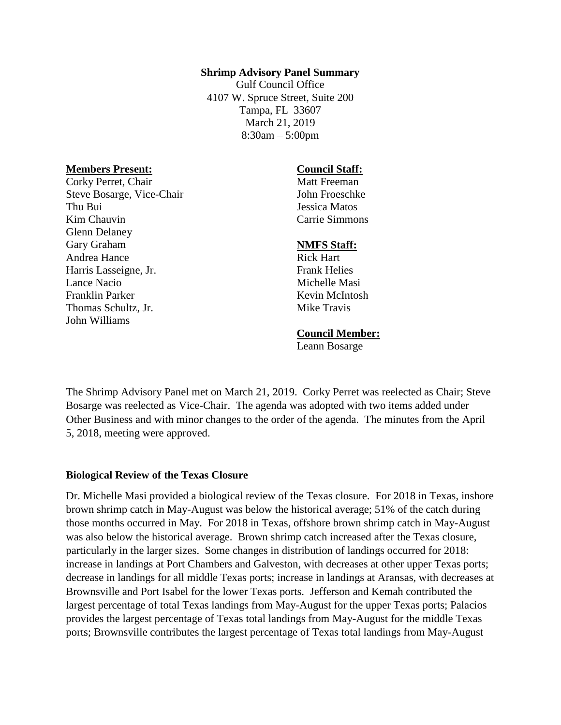#### **Shrimp Advisory Panel Summary**

Gulf Council Office 4107 W. Spruce Street, Suite 200 Tampa, FL 33607 March 21, 2019 8:30am – 5:00pm

#### **Members Present:**

Corky Perret, Chair Steve Bosarge, Vice-Chair Thu Bui Kim Chauvin Glenn Delaney Gary Graham Andrea Hance Harris Lasseigne, Jr. Lance Nacio Franklin Parker Thomas Schultz, Jr. John Williams

### **Council Staff:**

Matt Freeman John Froeschke Jessica Matos Carrie Simmons

### **NMFS Staff:**

Rick Hart Frank Helies Michelle Masi Kevin McIntosh Mike Travis

## **Council Member:**

Leann Bosarge

The Shrimp Advisory Panel met on March 21, 2019. Corky Perret was reelected as Chair; Steve Bosarge was reelected as Vice-Chair. The agenda was adopted with two items added under Other Business and with minor changes to the order of the agenda. The minutes from the April 5, 2018, meeting were approved.

#### **Biological Review of the Texas Closure**

Dr. Michelle Masi provided a biological review of the Texas closure. For 2018 in Texas, inshore brown shrimp catch in May-August was below the historical average; 51% of the catch during those months occurred in May. For 2018 in Texas, offshore brown shrimp catch in May-August was also below the historical average. Brown shrimp catch increased after the Texas closure, particularly in the larger sizes. Some changes in distribution of landings occurred for 2018: increase in landings at Port Chambers and Galveston, with decreases at other upper Texas ports; decrease in landings for all middle Texas ports; increase in landings at Aransas, with decreases at Brownsville and Port Isabel for the lower Texas ports. Jefferson and Kemah contributed the largest percentage of total Texas landings from May-August for the upper Texas ports; Palacios provides the largest percentage of Texas total landings from May-August for the middle Texas ports; Brownsville contributes the largest percentage of Texas total landings from May-August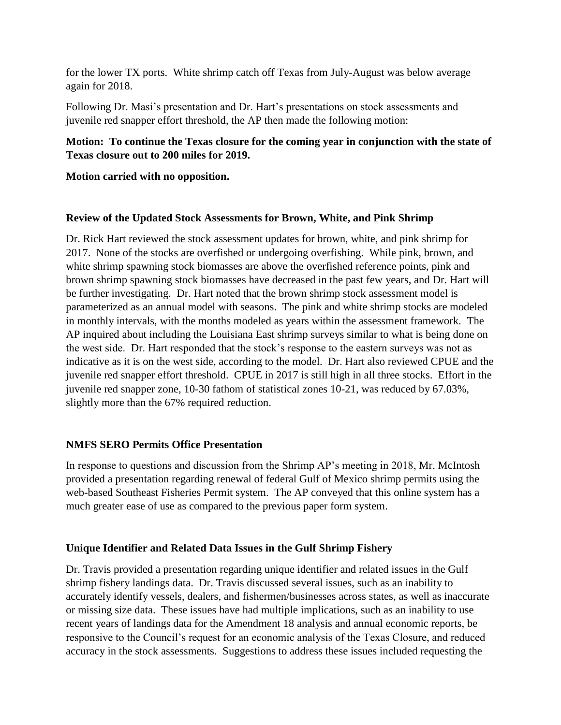for the lower TX ports. White shrimp catch off Texas from July-August was below average again for 2018.

Following Dr. Masi's presentation and Dr. Hart's presentations on stock assessments and juvenile red snapper effort threshold, the AP then made the following motion:

## **Motion: To continue the Texas closure for the coming year in conjunction with the state of Texas closure out to 200 miles for 2019.**

### **Motion carried with no opposition.**

### **Review of the Updated Stock Assessments for Brown, White, and Pink Shrimp**

Dr. Rick Hart reviewed the stock assessment updates for brown, white, and pink shrimp for 2017. None of the stocks are overfished or undergoing overfishing. While pink, brown, and white shrimp spawning stock biomasses are above the overfished reference points, pink and brown shrimp spawning stock biomasses have decreased in the past few years, and Dr. Hart will be further investigating. Dr. Hart noted that the brown shrimp stock assessment model is parameterized as an annual model with seasons. The pink and white shrimp stocks are modeled in monthly intervals, with the months modeled as years within the assessment framework. The AP inquired about including the Louisiana East shrimp surveys similar to what is being done on the west side. Dr. Hart responded that the stock's response to the eastern surveys was not as indicative as it is on the west side, according to the model. Dr. Hart also reviewed CPUE and the juvenile red snapper effort threshold. CPUE in 2017 is still high in all three stocks. Effort in the juvenile red snapper zone, 10-30 fathom of statistical zones 10-21, was reduced by 67.03%, slightly more than the 67% required reduction.

# **NMFS SERO Permits Office Presentation**

In response to questions and discussion from the Shrimp AP's meeting in 2018, Mr. McIntosh provided a presentation regarding renewal of federal Gulf of Mexico shrimp permits using the web-based Southeast Fisheries Permit system. The AP conveyed that this online system has a much greater ease of use as compared to the previous paper form system.

### **Unique Identifier and Related Data Issues in the Gulf Shrimp Fishery**

Dr. Travis provided a presentation regarding unique identifier and related issues in the Gulf shrimp fishery landings data. Dr. Travis discussed several issues, such as an inability to accurately identify vessels, dealers, and fishermen/businesses across states, as well as inaccurate or missing size data. These issues have had multiple implications, such as an inability to use recent years of landings data for the Amendment 18 analysis and annual economic reports, be responsive to the Council's request for an economic analysis of the Texas Closure, and reduced accuracy in the stock assessments. Suggestions to address these issues included requesting the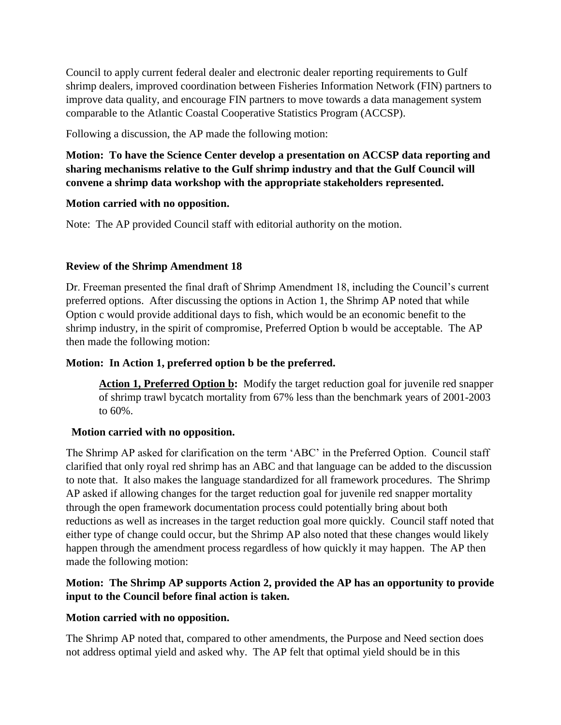Council to apply current federal dealer and electronic dealer reporting requirements to Gulf shrimp dealers, improved coordination between Fisheries Information Network (FIN) partners to improve data quality, and encourage FIN partners to move towards a data management system comparable to the Atlantic Coastal Cooperative Statistics Program (ACCSP).

Following a discussion, the AP made the following motion:

# **Motion: To have the Science Center develop a presentation on ACCSP data reporting and sharing mechanisms relative to the Gulf shrimp industry and that the Gulf Council will convene a shrimp data workshop with the appropriate stakeholders represented.**

# **Motion carried with no opposition.**

Note: The AP provided Council staff with editorial authority on the motion.

# **Review of the Shrimp Amendment 18**

Dr. Freeman presented the final draft of Shrimp Amendment 18, including the Council's current preferred options. After discussing the options in Action 1, the Shrimp AP noted that while Option c would provide additional days to fish, which would be an economic benefit to the shrimp industry, in the spirit of compromise, Preferred Option b would be acceptable. The AP then made the following motion:

# **Motion: In Action 1, preferred option b be the preferred.**

**Action 1, Preferred Option b:** Modify the target reduction goal for juvenile red snapper of shrimp trawl bycatch mortality from 67% less than the benchmark years of 2001-2003 to 60%.

# **Motion carried with no opposition.**

The Shrimp AP asked for clarification on the term 'ABC' in the Preferred Option. Council staff clarified that only royal red shrimp has an ABC and that language can be added to the discussion to note that. It also makes the language standardized for all framework procedures. The Shrimp AP asked if allowing changes for the target reduction goal for juvenile red snapper mortality through the open framework documentation process could potentially bring about both reductions as well as increases in the target reduction goal more quickly. Council staff noted that either type of change could occur, but the Shrimp AP also noted that these changes would likely happen through the amendment process regardless of how quickly it may happen. The AP then made the following motion:

# **Motion: The Shrimp AP supports Action 2, provided the AP has an opportunity to provide input to the Council before final action is taken.**

# **Motion carried with no opposition.**

The Shrimp AP noted that, compared to other amendments, the Purpose and Need section does not address optimal yield and asked why. The AP felt that optimal yield should be in this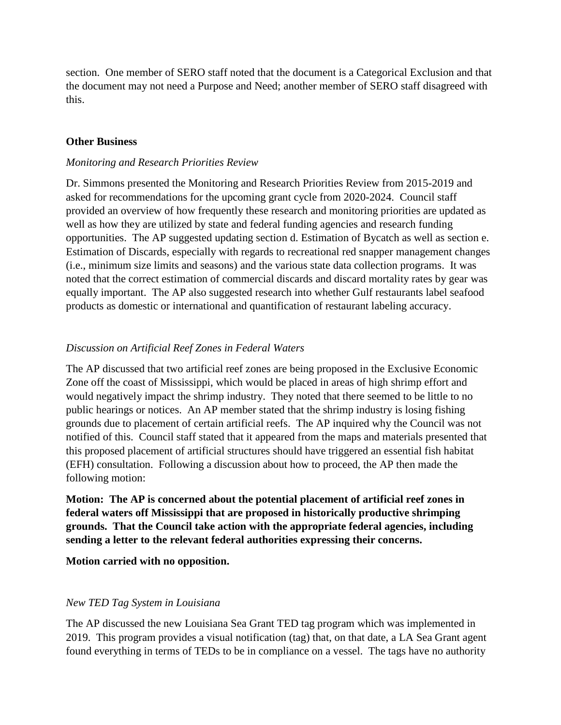section. One member of SERO staff noted that the document is a Categorical Exclusion and that the document may not need a Purpose and Need; another member of SERO staff disagreed with this.

### **Other Business**

#### *Monitoring and Research Priorities Review*

Dr. Simmons presented the Monitoring and Research Priorities Review from 2015-2019 and asked for recommendations for the upcoming grant cycle from 2020-2024. Council staff provided an overview of how frequently these research and monitoring priorities are updated as well as how they are utilized by state and federal funding agencies and research funding opportunities. The AP suggested updating section d. Estimation of Bycatch as well as section e. Estimation of Discards, especially with regards to recreational red snapper management changes (i.e., minimum size limits and seasons) and the various state data collection programs. It was noted that the correct estimation of commercial discards and discard mortality rates by gear was equally important. The AP also suggested research into whether Gulf restaurants label seafood products as domestic or international and quantification of restaurant labeling accuracy.

## *Discussion on Artificial Reef Zones in Federal Waters*

The AP discussed that two artificial reef zones are being proposed in the Exclusive Economic Zone off the coast of Mississippi, which would be placed in areas of high shrimp effort and would negatively impact the shrimp industry. They noted that there seemed to be little to no public hearings or notices. An AP member stated that the shrimp industry is losing fishing grounds due to placement of certain artificial reefs. The AP inquired why the Council was not notified of this. Council staff stated that it appeared from the maps and materials presented that this proposed placement of artificial structures should have triggered an essential fish habitat (EFH) consultation. Following a discussion about how to proceed, the AP then made the following motion:

**Motion: The AP is concerned about the potential placement of artificial reef zones in federal waters off Mississippi that are proposed in historically productive shrimping grounds. That the Council take action with the appropriate federal agencies, including sending a letter to the relevant federal authorities expressing their concerns.**

**Motion carried with no opposition.**

### *New TED Tag System in Louisiana*

The AP discussed the new Louisiana Sea Grant TED tag program which was implemented in 2019. This program provides a visual notification (tag) that, on that date, a LA Sea Grant agent found everything in terms of TEDs to be in compliance on a vessel. The tags have no authority